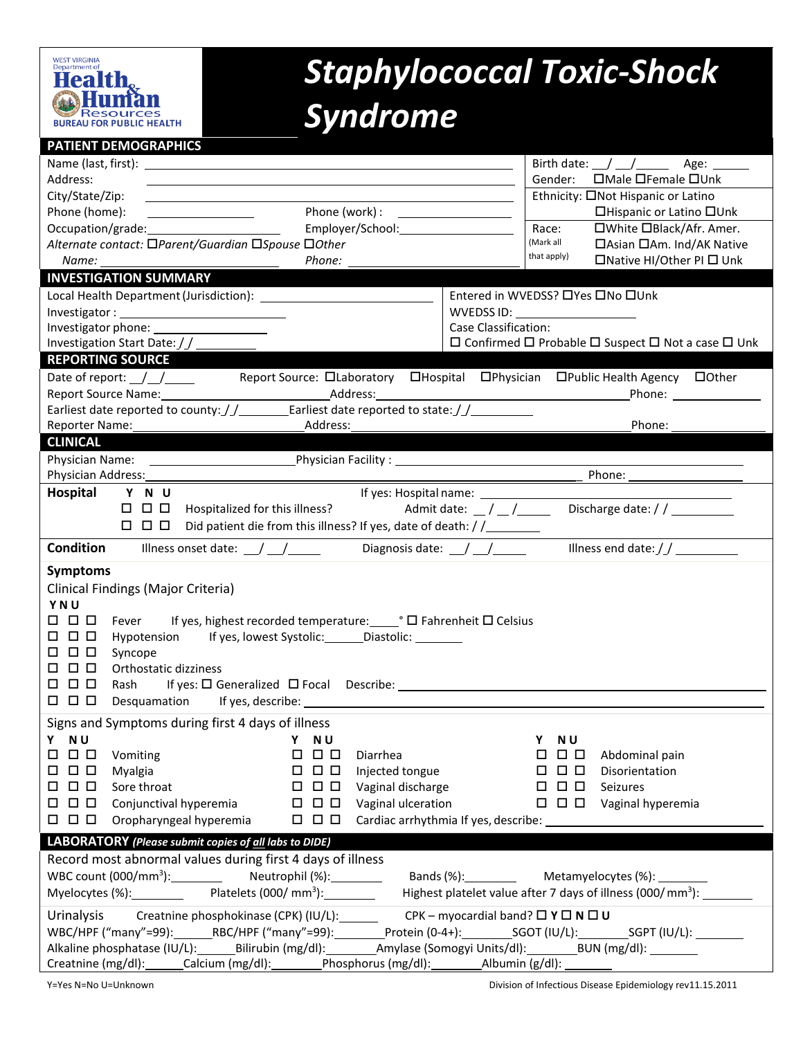

## *Staphylococcal Toxic-Shock Syndrome*

## **PATIENT DEMOGRAPHICS**

|                                                                                                                                         | Birth date: $\angle$ / $\angle$<br>Age: $\qquad \qquad$                      |
|-----------------------------------------------------------------------------------------------------------------------------------------|------------------------------------------------------------------------------|
| Address:                                                                                                                                | □Male □Female □Unk<br>Gender:                                                |
| City/State/Zip:<br><u> 1989 - Johann Barn, mars eta bainar eta bainar eta baina eta baina eta baina eta baina eta baina eta baina e</u> | Ethnicity: ONot Hispanic or Latino                                           |
| Phone (home):<br><u> 1980 - Johann Barbara, martin a</u>                                                                                | □Hispanic or Latino □Unk                                                     |
| Occupation/grade:<br>Employer/School: Employer/School:                                                                                  | □White □Black/Afr. Amer.<br>Race:                                            |
| Alternate contact: □Parent/Guardian □Spouse □Other                                                                                      | (Mark all<br>□ Asian □ Am. Ind/AK Native                                     |
|                                                                                                                                         | that apply)<br>□Native HI/Other PI □ Unk                                     |
| <b>INVESTIGATION SUMMARY</b>                                                                                                            |                                                                              |
| Local Health Department (Jurisdiction): North and the Manuscriptus of the Manuscriptus of the Manuscriptus of                           | Entered in WVEDSS? □Yes □No □Unk                                             |
|                                                                                                                                         | WVEDSS ID: ____________________                                              |
|                                                                                                                                         | Case Classification:                                                         |
| Investigation Start Date: / / _________                                                                                                 | $\Box$ Confirmed $\Box$ Probable $\Box$ Suspect $\Box$ Not a case $\Box$ Unk |
| <b>REPORTING SOURCE</b>                                                                                                                 |                                                                              |
| Date of report: $\angle$ / $\angle$<br>Report Source: DLaboratory DHospital DPhysician DPublic Health Agency DOther                     |                                                                              |
|                                                                                                                                         |                                                                              |
| Earliest date reported to county: $\frac{f}{f}$ Earliest date reported to state: $\frac{f}{f}$                                          |                                                                              |
| _____Address:_<br>Reporter Name:                                                                                                        | Phone:                                                                       |
| <b>CLINICAL</b>                                                                                                                         |                                                                              |
|                                                                                                                                         |                                                                              |
| Physician Address:                                                                                                                      |                                                                              |
| Hospital<br>Y N U<br>If yes: Hospital name: _______________                                                                             |                                                                              |
| Discharge date: / / __________<br>Admit date: $\angle$ / $\angle$ /<br>$\Box$ $\Box$ $\Box$<br>Hospitalized for this illness?           |                                                                              |
| Did patient die from this illness? If yes, date of death: / /<br>0 0 0                                                                  |                                                                              |
| <b>Condition</b><br>Illness onset date: $\angle$ / $\angle$<br>Diagnosis date: $\angle$ / $\angle$                                      |                                                                              |
| <b>Symptoms</b>                                                                                                                         |                                                                              |
| Clinical Findings (Major Criteria)                                                                                                      |                                                                              |
| YNU                                                                                                                                     |                                                                              |
| Fever If yes, highest recorded temperature: COD Fahrenheit □ Celsius<br>0 0 0                                                           |                                                                              |
| Hypotension If yes, lowest Systolic: _______ Diastolic: _________<br><b>000</b>                                                         |                                                                              |
| 0 0 0<br>Syncope                                                                                                                        |                                                                              |
| <b>000</b><br>Orthostatic dizziness                                                                                                     |                                                                              |
| $\Box$ $\Box$ $\Box$                                                                                                                    |                                                                              |
| $\Box$ $\Box$ $\Box$                                                                                                                    |                                                                              |
| Signs and Symptoms during first 4 days of illness                                                                                       |                                                                              |
| Y NU Y NU                                                                                                                               | Y NU                                                                         |
| 000<br>Vomiting<br>$\Box$ $\Box$<br>Diarrhea                                                                                            | 000<br>Abdominal pain                                                        |
| $\Box$ $\Box$ $\Box$<br><b>000</b><br>Injected tongue<br>Myalgia                                                                        | $\Box$ $\Box$ $\Box$<br>Disorientation                                       |
| $\Box$ $\Box$ $\Box$<br>$\Box$ $\Box$ $\Box$<br>Sore throat<br>Vaginal discharge                                                        | $\Box$ $\Box$ $\Box$<br>Seizures                                             |
| $\Box$ $\Box$ $\Box$<br>$\Box$ $\Box$ $\Box$<br>Conjunctival hyperemia<br>Vaginal ulceration                                            | $\Box$ $\Box$ $\Box$ Vaginal hyperemia                                       |
| $\Box$ $\Box$ $\Box$<br>$\Box$ $\Box$ $\Box$<br>Oropharyngeal hyperemia                                                                 | Cardiac arrhythmia If yes, describe:                                         |
| LABORATORY (Please submit copies of all labs to DIDE)                                                                                   |                                                                              |
| Record most abnormal values during first 4 days of illness                                                                              |                                                                              |
| WBC count (000/mm <sup>3</sup> ): Neutrophil (%): Neutrophil (%):<br>Bands (%): Metamyelocytes (%): Case Bands (%):                     |                                                                              |
| Myelocytes (%): Platelets (000/mm <sup>3</sup> ): Highest platelet value after 7 days of illness (000/mm <sup>3</sup> ):                |                                                                              |
|                                                                                                                                         |                                                                              |
| Urinalysis Creatnine phosphokinase (CPK) (IU/L): CPK - myocardial band? $\Box Y \Box N \Box U$                                          |                                                                              |
| WBC/HPF ("many"=99): RBC/HPF ("many"=99): Protein (0-4+): SGOT (IU/L): SGPT (IU/L):                                                     |                                                                              |
| Alkaline phosphatase (IU/L):________Bilirubin (mg/dl):____________Amylase (Somogyi Units/dl):___________BUN (mg/dl):__________          |                                                                              |
| Creatnine (mg/dl):______Calcium (mg/dl):_________Phosphorus (mg/dl):__________Albumin (g/dl): _______                                   |                                                                              |